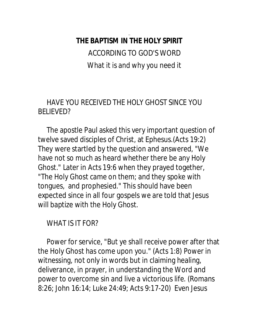**THE BAPTISM IN THE HOLY SPIRIT**

ACCORDING TO GOD'S WORD What it is and why you need it

### HAVE YOU RECEIVED THE HOLY GHOST SINCE YOU BELIEVED?

 The apostle Paul asked this very important question of twelve saved disciples of Christ, at Ephesus.(Acts 19:2) They were startled by the question and answered, "We have not so much as heard whether there be any Holy Ghost." Later in Acts 19:6 when they prayed together, "The Holy Ghost came on them; and they spoke with tongues, and prophesied." This should have been expected since in all four gospels we are told that Jesus will baptize with the Holy Ghost.

#### WHAT IS IT FOR?

 Power for service, "But ye shall receive power after that the Holy Ghost has come upon you." (Acts 1:8) Power in witnessing, not only in words but in claiming healing, deliverance, in prayer, in understanding the Word and power to overcome sin and live a victorious life. (Romans 8:26; John 16:14; Luke 24:49; Acts 9:17-20) Even Jesus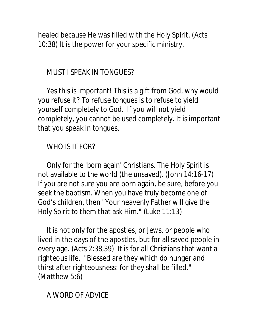healed because He was filled with the Holy Spirit. (Acts 10:38) It is the power for your specific ministry.

MUST I SPEAK IN TONGUES?

 Yes this is important! This is a gift from God, why would you refuse it? To refuse tongues is to refuse to yield yourself completely to God. If you will not yield completely, you cannot be used completely. It is important that you speak in tongues.

#### WHO IS IT FOR?

 Only for the 'born again' Christians. The Holy Spirit is not available to the world (the unsaved). (John 14:16-17) If you are not sure you are born again, be sure, before you seek the baptism. When you have truly become one of God's children, then "Your heavenly Father will give the Holy Spirit to them that ask Him." (Luke 11:13)

 It is not only for the apostles, or Jews, or people who lived in the days of the apostles, but for all saved people in every age. (Acts 2:38,39) It is for all Christians that want a righteous life. "Blessed are they which do hunger and thirst after righteousness: for they shall be filled." (Matthew 5:6)

A WORD OF ADVICE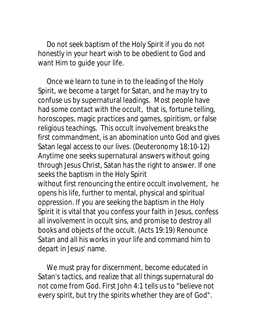Do not seek baptism of the Holy Spirit if you do not honestly in your heart wish to be obedient to God and want Him to guide your life.

 Once we learn to tune in to the leading of the Holy Spirit, we become a target for Satan, and he may try to confuse us by supernatural leadings. Most people have had some contact with the occult, that is, fortune telling, horoscopes, magic practices and games, spiritism, or false religious teachings. This occult involvement breaks the first commandment, is an abomination unto God and gives Satan legal access to our lives. (Deuteronomy 18:10-12) Anytime one seeks supernatural answers without going through Jesus Christ, Satan has the right to answer. If one seeks the baptism in the Holy Spirit without first renouncing the entire occult involvement, he opens his life, further to mental, physical and spiritual oppression. If you are seeking the baptism in the Holy Spirit it is vital that you confess your faith in Jesus, confess all involvement in occult sins, and promise to destroy all books and objects of the occult. (Acts 19:19) Renounce Satan and all his works in your life and command him to depart in Jesus' name.

 We must pray for discernment, become educated in Satan's tactics, and realize that all things supernatural do not come from God. First John 4:1 tells us to "believe not every spirit, but try the spirits whether they are of God".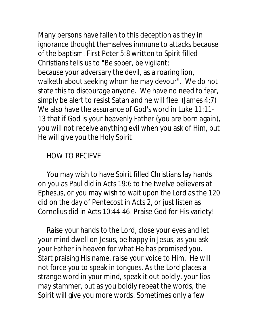Many persons have fallen to this deception as they in ignorance thought themselves immune to attacks because of the baptism. First Peter 5:8 written to Spirit filled Christians tells us to "Be sober, be vigilant; because your adversary the devil, as a roaring lion, walketh about seeking whom he may devour". We do not state this to discourage anyone. We have no need to fear, simply be alert to resist Satan and he will flee. (James 4:7) We also have the assurance of God's word in Luke 11:11- 13 that if God is your heavenly Father (you are born again), you will not receive anything evil when you ask of Him, but He will give you the Holy Spirit.

# HOW TO RECIEVE

 You may wish to have Spirit filled Christians lay hands on you as Paul did in Acts 19:6 to the twelve believers at Ephesus, or you may wish to wait upon the Lord as the 120 did on the day of Pentecost in Acts 2, or just listen as Cornelius did in Acts 10:44-46. Praise God for His variety!

 Raise your hands to the Lord, close your eyes and let your mind dwell on Jesus, be happy in Jesus, as you ask your Father in heaven for what He has promised you. Start praising His name, raise your voice to Him. He will not force you to speak in tongues. As the Lord places a strange word in your mind, speak it out boldly, your lips may stammer, but as you boldly repeat the words, the Spirit will give you more words. Sometimes only a few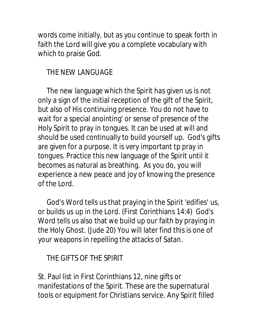words come initially, but as you continue to speak forth in faith the Lord will give you a complete vocabulary with which to praise God.

## THE NEW LANGUAGE

 The new language which the Spirit has given us is not only a sign of the initial reception of the gift of the Spirit, but also of His continuing presence. You do not have to wait for a special anointing' or sense of presence of the Holy Spirit to pray in tongues. It can be used at will and should be used continually to build yourself up. God's gifts are given for a purpose. It is very important tp pray in tongues. Practice this new language of the Spirit until it becomes as natural as breathing. As you do, you will experience a new peace and joy of knowing the presence of the Lord.

 God's Word tells us that praying in the Spirit 'edifies' us, or builds us up in the Lord. (First Corinthians 14:4) God's Word tells us also that we build up our faith by praying in the Holy Ghost. (Jude 20) You will later find this is one of your weapons in repelling the attacks of Satan.

## THE GIFTS OF THE SPIRIT

St. Paul list in First Corinthians 12, nine gifts or manifestations of the Spirit. These are the supernatural tools or equipment for Christians service. Any Spirit filled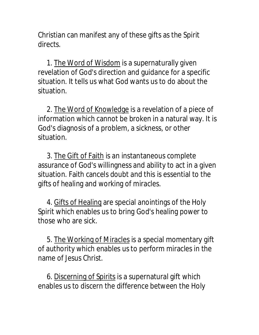Christian can manifest any of these gifts as the Spirit directs.

1. The Word of Wisdom is a supernaturally given revelation of God's direction and guidance for a specific situation. It tells us what God wants us to do about the situation.

 2. The Word of Knowledge is a revelation of a piece of information which cannot be broken in a natural way. It is God's diagnosis of a problem, a sickness, or other situation.

 3. The Gift of Faith is an instantaneous complete assurance of God's willingness and ability to act in a given situation. Faith cancels doubt and this is essential to the gifts of healing and working of miracles.

 4. Gifts of Healing are special anointings of the Holy Spirit which enables us to bring God's healing power to those who are sick.

 5. The Working of Miracles is a special momentary gift of authority which enables us to perform miracles in the name of Jesus Christ.

 6. Discerning of Spirits is a supernatural gift which enables us to discern the difference between the Holy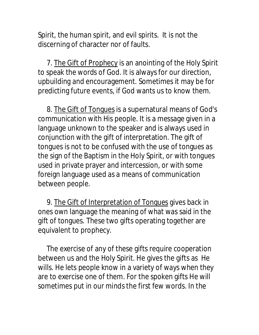Spirit, the human spirit, and evil spirits. It is not the discerning of character nor of faults.

7. The Gift of Prophecy is an anointing of the Holy Spirit to speak the words of God. It is always for our direction, upbuilding and encouragement. Sometimes it may be for predicting future events, if God wants us to know them.

 8. The Gift of Tongues is a supernatural means of God's communication with His people. It is a message given in a language unknown to the speaker and is always used in conjunction with the gift of interpretation. The gift of tongues is not to be confused with the use of tongues as the sign of the Baptism in the Holy Spirit, or with tongues used in private prayer and intercession, or with some foreign language used as a means of communication between people.

9. The Gift of Interpretation of Tongues gives back in ones own language the meaning of what was said in the gift of tongues. These two gifts operating together are equivalent to prophecy.

 The exercise of any of these gifts require cooperation between us and the Holy Spirit. He gives the gifts as He wills. He lets people know in a variety of ways when they are to exercise one of them. For the spoken gifts He will sometimes put in our minds the first few words. In the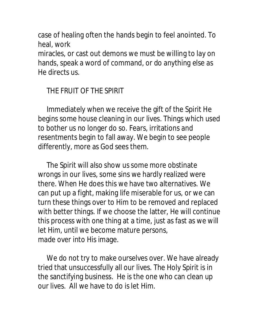case of healing often the hands begin to feel anointed. To heal, work

miracles, or cast out demons we must be willing to lay on hands, speak a word of command, or do anything else as He directs us.

# THE FRUIT OF THE SPIRIT

 Immediately when we receive the gift of the Spirit He begins some house cleaning in our lives. Things which used to bother us no longer do so. Fears, irritations and resentments begin to fall away. We begin to see people differently, more as God sees them.

 The Spirit will also show us some more obstinate wrongs in our lives, some sins we hardly realized were there. When He does this we have two alternatives. We can put up a fight, making life miserable for us, or we can turn these things over to Him to be removed and replaced with better things. If we choose the latter, He will continue this process with one thing at a time, just as fast as we will let Him, until we become mature persons, made over into His image.

We do not try to make ourselves over. We have already tried that unsuccessfully all our lives. The Holy Spirit is in the sanctifying business. He is the one who can clean up our lives. All we have to do is let Him.